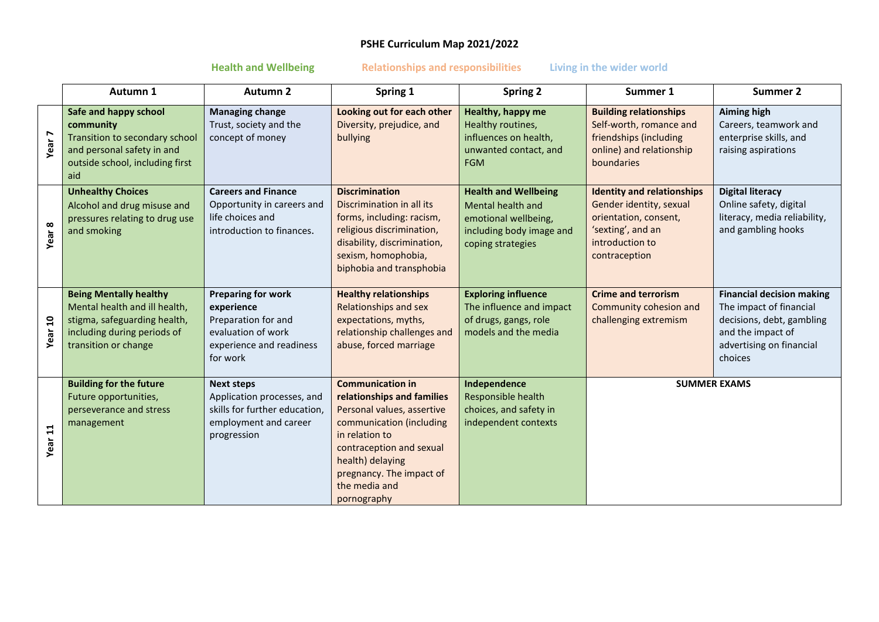# **PSHE Curriculum Map 2021/2022**

**Health and Wellbeing Relationships and responsibilities Living in the wider world**

|                    | Autumn 1                                                                                                                                              | <b>Autumn 2</b>                                                                                                              | Spring 1                                                                                                                                                                                                                                      | <b>Spring 2</b>                                                                                                           | Summer 1                                                                                                                                       | <b>Summer 2</b>                                                                                                                                      |
|--------------------|-------------------------------------------------------------------------------------------------------------------------------------------------------|------------------------------------------------------------------------------------------------------------------------------|-----------------------------------------------------------------------------------------------------------------------------------------------------------------------------------------------------------------------------------------------|---------------------------------------------------------------------------------------------------------------------------|------------------------------------------------------------------------------------------------------------------------------------------------|------------------------------------------------------------------------------------------------------------------------------------------------------|
| Year <sub>7</sub>  | Safe and happy school<br>community<br>Transition to secondary school<br>and personal safety in and<br>outside school, including first<br>aid          | <b>Managing change</b><br>Trust, society and the<br>concept of money                                                         | Looking out for each other<br>Diversity, prejudice, and<br>bullying                                                                                                                                                                           | Healthy, happy me<br>Healthy routines,<br>influences on health,<br>unwanted contact, and<br><b>FGM</b>                    | <b>Building relationships</b><br>Self-worth, romance and<br>friendships (including<br>online) and relationship<br>boundaries                   | <b>Aiming high</b><br>Careers, teamwork and<br>enterprise skills, and<br>raising aspirations                                                         |
| Year 8             | <b>Unhealthy Choices</b><br>Alcohol and drug misuse and<br>pressures relating to drug use<br>and smoking                                              | <b>Careers and Finance</b><br>Opportunity in careers and<br>life choices and<br>introduction to finances.                    | <b>Discrimination</b><br>Discrimination in all its<br>forms, including: racism,<br>religious discrimination,<br>disability, discrimination,<br>sexism, homophobia,<br>biphobia and transphobia                                                | <b>Health and Wellbeing</b><br>Mental health and<br>emotional wellbeing,<br>including body image and<br>coping strategies | <b>Identity and relationships</b><br>Gender identity, sexual<br>orientation, consent,<br>'sexting', and an<br>introduction to<br>contraception | <b>Digital literacy</b><br>Online safety, digital<br>literacy, media reliability,<br>and gambling hooks                                              |
| Year 10            | <b>Being Mentally healthy</b><br>Mental health and ill health,<br>stigma, safeguarding health,<br>including during periods of<br>transition or change | <b>Preparing for work</b><br>experience<br>Preparation for and<br>evaluation of work<br>experience and readiness<br>for work | <b>Healthy relationships</b><br>Relationships and sex<br>expectations, myths,<br>relationship challenges and<br>abuse, forced marriage                                                                                                        | <b>Exploring influence</b><br>The influence and impact<br>of drugs, gangs, role<br>models and the media                   | <b>Crime and terrorism</b><br>Community cohesion and<br>challenging extremism                                                                  | <b>Financial decision making</b><br>The impact of financial<br>decisions, debt, gambling<br>and the impact of<br>advertising on financial<br>choices |
| Year <sub>11</sub> | <b>Building for the future</b><br>Future opportunities,<br>perseverance and stress<br>management                                                      | <b>Next steps</b><br>Application processes, and<br>skills for further education,<br>employment and career<br>progression     | <b>Communication in</b><br>relationships and families<br>Personal values, assertive<br>communication (including<br>in relation to<br>contraception and sexual<br>health) delaying<br>pregnancy. The impact of<br>the media and<br>pornography | Independence<br>Responsible health<br>choices, and safety in<br>independent contexts                                      | <b>SUMMER EXAMS</b>                                                                                                                            |                                                                                                                                                      |